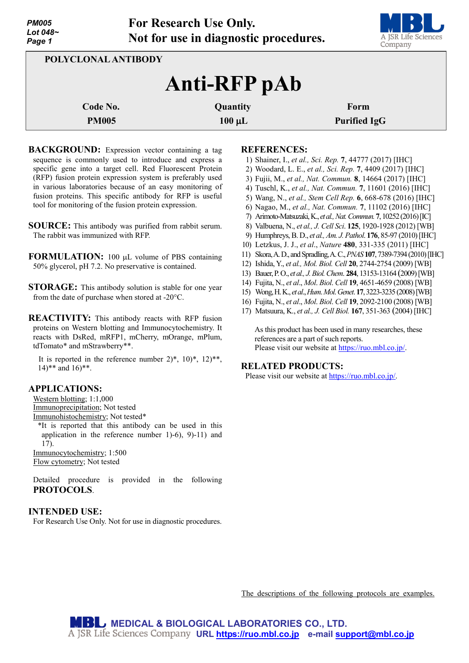| <b>PM005</b><br>Lot $048-$<br>Page 1 | <b>For Research Use Only.</b> | Not for use in diagnostic procedures. | A JSR Life Sciences<br>Company |  |
|--------------------------------------|-------------------------------|---------------------------------------|--------------------------------|--|
| POLYCLONAL ANTIBODY                  |                               |                                       |                                |  |
| <b>Anti-RFP</b> pAb                  |                               |                                       |                                |  |
|                                      | Code No.                      | Quantity                              | Form                           |  |
|                                      | <b>PM005</b>                  | $100 \mu L$                           | <b>Purified IgG</b>            |  |

**For Research Use Only.**

**BACKGROUND:** Expression vector containing a tag sequence is commonly used to introduce and express a specific gene into a target cell. Red Fluorescent Protein (RFP) fusion protein expression system is preferably used in various laboratories because of an easy monitoring of fusion proteins. This specific antibody for RFP is useful tool for monitoring of the fusion protein expression.

**SOURCE:** This antibody was purified from rabbit serum. The rabbit was immunized with RFP.

**FORMULATION:** 100 µL volume of PBS containing 50% glycerol, pH 7.2. No preservative is contained.

**STORAGE:** This antibody solution is stable for one year from the date of purchase when stored at -20°C.

**REACTIVITY:** This antibody reacts with RFP fusion proteins on Western blotting and Immunocytochemistry. It reacts with DsRed, mRFP1, mCherry, mOrange, mPlum, tdTomato\* and mStrawberry\*\*.

It is reported in the reference number  $2$ <sup>\*</sup>,  $10$ <sup>\*</sup>,  $12$ <sup>\*\*</sup>,  $14$ <sup>\*\*</sup> and  $16$ <sup>\*\*</sup>.

#### **APPLICATIONS:**

Western blotting; 1:1,000 Immunoprecipitation; Not tested

Immunohistochemistry; Not tested\*

\*It is reported that this antibody can be used in this application in the reference number 1)-6), 9)-11) and 17). Immunocytochemistry; 1:500

Flow cytometry; Not tested

Detailed procedure is provided in the following **PROTOCOLS**.

## **INTENDED USE:**

For Research Use Only. Not for use in diagnostic procedures.

## **REFERENCES:**

- 1) Shainer, I., *et al., Sci. Rep.* **7**, 44777 (2017) [IHC]
- 2) Woodard, L. E., *et al., Sci. Rep.* **7**, 4409 (2017) [IHC]
- 3) Fujii, M., *et al., Nat. Commun.* **8**, 14664 (2017) [IHC]
- 4) Tuschl, K., *et al., Nat. Commun.* **7**, 11601 (2016) [IHC]
- 5) Wang, N., *et al., Stem Cell Rep.* **6**, 668-678 (2016) [IHC]
- 6) Nagao, M., *et al., Nat. Commun.* **7**, 11102 (2016) [IHC]
- 7) Arimoto-Matsuzaki, K., *et al., Nat. Commun.* **7**, 10252 (2016) [IC]
- 8) Valbuena, N., *et al., J. Cell Sci*. **125**, 1920-1928 (2012) [WB]
- 9) Humphreys,B. D., *et al., Am. J. Pathol*. **176**, 85-97 (2010) [IHC]
- 10) [Letzkus,](http://www.ncbi.nlm.nih.gov/pubmed?term=Letzkus%20JJ%5BAuthor%5D&cauthor=true&cauthor_uid=22158104) J. J., *et al*., *Nature* **480**, 331-335 (2011) [IHC]
- 11) Skora,A. D., and Spradling,A. C.,*PNAS***107**, 7389-7394 (2010)[IHC]
- 12) Ishida, Y., *et al., Mol. Biol. Cell* **20**, 2744-2754 (2009) [WB]
- 13) Bauer, P. O., *et al., J. Biol. Chem*. **284**, 13153-13164 (2009)[WB]
- 14) Fujita, N., *et al*., *Mol*. *Biol*. *Cell* **19**, 4651-4659 (2008) [WB]
- 15) Wong, H. K., *et al*., *Hum*. *Mol*. *Genet*. **17**, 3223-3235 (2008)[WB]
- 16) Fujita, N., *et al*., *Mol*. *Biol*. *Cell* **19**, 2092-2100 (2008) [WB]
- 17) Matsuura, K., *et al., J. Cell Biol.* **167**, 351-363 (2004) [IHC]

As this product has been used in many researches, these references are a part of such reports. Please visit our website at [https://ruo.mbl.co.jp/.](https://ruo.mbl.co.jp/)

#### **RELATED PRODUCTS:**

Please visit our website at [https://ruo.mbl.co.jp/.](https://ruo.mbl.co.jp/)

The descriptions of the following protocols are examples.